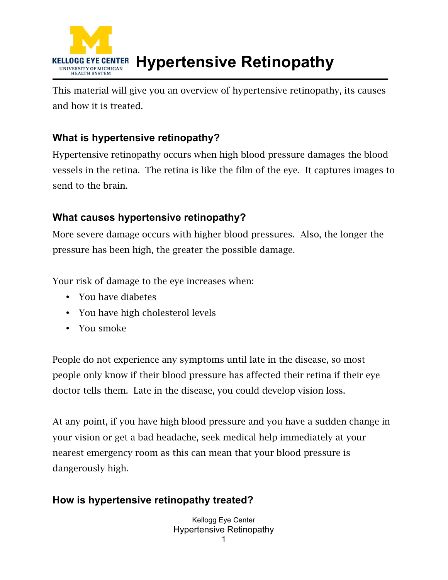

This material will give you an overview of hypertensive retinopathy, its causes and how it is treated.

## **What is hypertensive retinopathy?**

Hypertensive retinopathy occurs when high blood pressure damages the blood vessels in the retina. The retina is like the film of the eye. It captures images to send to the brain.

## **What causes hypertensive retinopathy?**

More severe damage occurs with higher blood pressures. Also, the longer the pressure has been high, the greater the possible damage.

Your risk of damage to the eye increases when:

- You have diabetes
- You have high cholesterol levels
- You smoke

People do not experience any symptoms until late in the disease, so most people only know if their blood pressure has affected their retina if their eye doctor tells them. Late in the disease, you could develop vision loss.

At any point, if you have high blood pressure and you have a sudden change in your vision or get a bad headache, seek medical help immediately at your nearest emergency room as this can mean that your blood pressure is dangerously high.

## **How is hypertensive retinopathy treated?**

Kellogg Eye Center Hypertensive Retinopathy